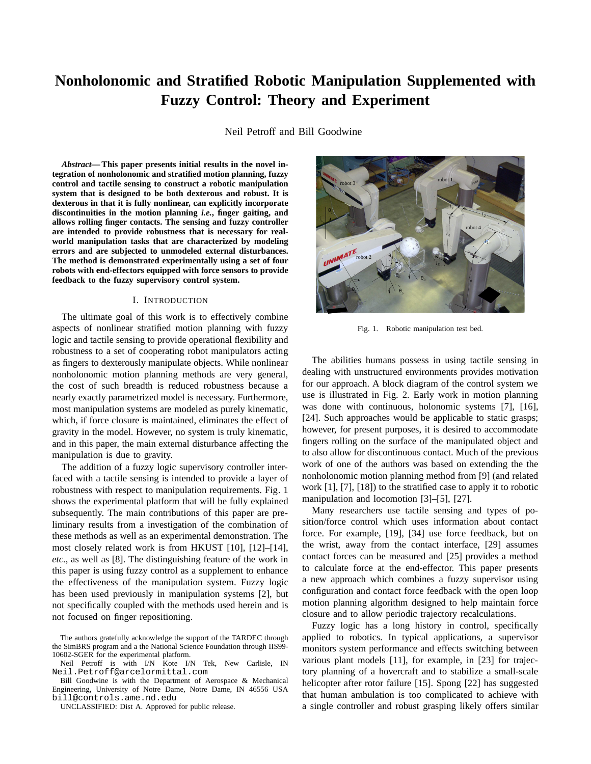# **Nonholonomic and Stratified Robotic Manipulation Supplemented with Fuzzy Control: Theory and Experiment**

Neil Petroff and Bill Goodwine

*Abstract***— This paper presents initial results in the novel integration of nonholonomic and stratified motion planning, fuzzy control and tactile sensing to construct a robotic manipulation system that is designed to be both dexterous and robust. It is dexterous in that it is fully nonlinear, can explicitly incorporate discontinuities in the motion planning** *i.e.***, finger gaiting, and allows rolling finger contacts. The sensing and fuzzy controller are intended to provide robustness that is necessary for realworld manipulation tasks that are characterized by modeling errors and are subjected to unmodeled external disturbances. The method is demonstrated experimentally using a set of four robots with end-effectors equipped with force sensors to provide feedback to the fuzzy supervisory control system.**

#### I. INTRODUCTION

The ultimate goal of this work is to effectively combine aspects of nonlinear stratified motion planning with fuzzy logic and tactile sensing to provide operational flexibility and robustness to a set of cooperating robot manipulators acting as fingers to dexterously manipulate objects. While nonlinear nonholonomic motion planning methods are very general, the cost of such breadth is reduced robustness because a nearly exactly parametrized model is necessary. Furthermore, most manipulation systems are modeled as purely kinematic, which, if force closure is maintained, eliminates the effect of gravity in the model. However, no system is truly kinematic, and in this paper, the main external disturbance affecting the manipulation is due to gravity.

The addition of a fuzzy logic supervisory controller interfaced with a tactile sensing is intended to provide a layer of robustness with respect to manipulation requirements. Fig. 1 shows the experimental platform that will be fully explained subsequently. The main contributions of this paper are preliminary results from a investigation of the combination of these methods as well as an experimental demonstration. The most closely related work is from HKUST [10], [12]–[14], *etc.*, as well as [8]. The distinguishing feature of the work in this paper is using fuzzy control as a supplement to enhance the effectiveness of the manipulation system. Fuzzy logic has been used previously in manipulation systems [2], but not specifically coupled with the methods used herein and is not focused on finger repositioning.



Fig. 1. Robotic manipulation test bed.

The abilities humans possess in using tactile sensing in dealing with unstructured environments provides motivation for our approach. A block diagram of the control system we use is illustrated in Fig. 2. Early work in motion planning was done with continuous, holonomic systems [7], [16], [24]. Such approaches would be applicable to static grasps; however, for present purposes, it is desired to accommodate fingers rolling on the surface of the manipulated object and to also allow for discontinuous contact. Much of the previous work of one of the authors was based on extending the the nonholonomic motion planning method from [9] (and related work [1], [7], [18]) to the stratified case to apply it to robotic manipulation and locomotion [3]–[5], [27].

Many researchers use tactile sensing and types of position/force control which uses information about contact force. For example, [19], [34] use force feedback, but on the wrist, away from the contact interface, [29] assumes contact forces can be measured and [25] provides a method to calculate force at the end-effector. This paper presents a new approach which combines a fuzzy supervisor using configuration and contact force feedback with the open loop motion planning algorithm designed to help maintain force closure and to allow periodic trajectory recalculations.

Fuzzy logic has a long history in control, specifically applied to robotics. In typical applications, a supervisor monitors system performance and effects switching between various plant models [11], for example, in [23] for trajectory planning of a hovercraft and to stabilize a small-scale helicopter after rotor failure [15]. Spong [22] has suggested that human ambulation is too complicated to achieve with a single controller and robust grasping likely offers similar

The authors gratefully acknowledge the support of the TARDEC through the SimBRS program and a the National Science Foundation through IIS99- 10602-SGER for the experimental platform.

Neil Petroff is with I/N Kote I/N Tek, New Carlisle, IN Neil.Petroff@arcelormittal.com

Bill Goodwine is with the Department of Aerospace & Mechanical Engineering, University of Notre Dame, Notre Dame, IN 46556 USA bill@controls.ame.nd.edu

UNCLASSIFIED: Dist A. Approved for public release.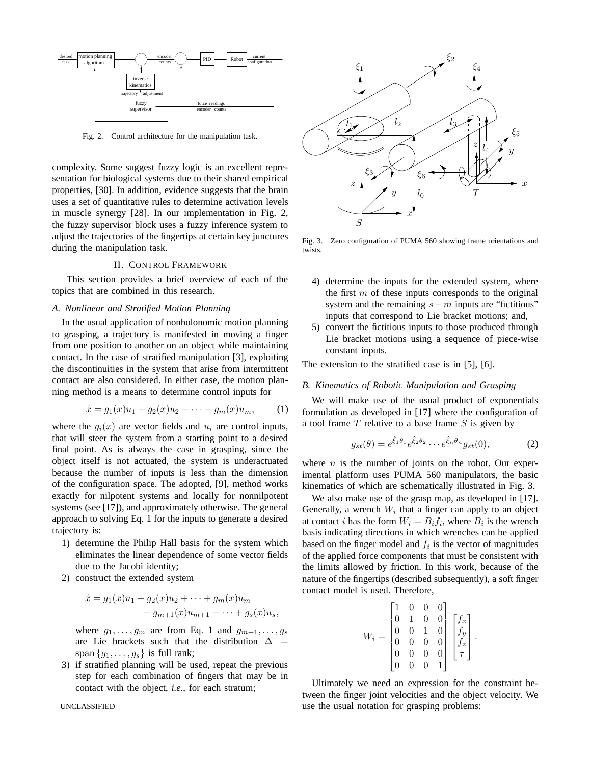

Fig. 2. Control architecture for the manipulation task.

complexity. Some suggest fuzzy logic is an excellent representation for biological systems due to their shared empirical properties, [30]. In addition, evidence suggests that the brain uses a set of quantitative rules to determine activation levels in muscle synergy [28]. In our implementation in Fig. 2, the fuzzy supervisor block uses a fuzzy inference system to adjust the trajectories of the fingertips at certain key junctures during the manipulation task.

## II. CONTROL FRAMEWORK

This section provides a brief overview of each of the topics that are combined in this research.

## *A. Nonlinear and Stratified Motion Planning*

In the usual application of nonholonomic motion planning to grasping, a trajectory is manifested in moving a finger from one position to another on an object while maintaining contact. In the case of stratified manipulation [3], exploiting the discontinuities in the system that arise from intermittent contact are also considered. In either case, the motion planning method is a means to determine control inputs for

$$
\dot{x} = g_1(x)u_1 + g_2(x)u_2 + \dots + g_m(x)u_m, \qquad (1)
$$

where the  $g_i(x)$  are vector fields and  $u_i$  are control inputs, that will steer the system from a starting point to a desired final point. As is always the case in grasping, since the object itself is not actuated, the system is underactuated because the number of inputs is less than the dimension of the configuration space. The adopted, [9], method works exactly for nilpotent systems and locally for nonnilpotent systems (see [17]), and approximately otherwise. The general approach to solving Eq. 1 for the inputs to generate a desired trajectory is:

- 1) determine the Philip Hall basis for the system which eliminates the linear dependence of some vector fields due to the Jacobi identity;
- 2) construct the extended system

$$
\dot{x} = g_1(x)u_1 + g_2(x)u_2 + \dots + g_m(x)u_m + g_{m+1}(x)u_{m+1} + \dots + g_s(x)u_s,
$$

where  $g_1, \ldots, g_m$  are from Eq. 1 and  $g_{m+1}, \ldots, g_s$ are Lie brackets such that the distribution  $\overline{\Delta}$  = span  $\{g_1,\ldots,g_s\}$  is full rank;

3) if stratified planning will be used, repeat the previous step for each combination of fingers that may be in contact with the object, *i.e.*, for each stratum;

UNCLASSIFIED



Fig. 3. Zero configuration of PUMA 560 showing frame orientations and twists.

- 4) determine the inputs for the extended system, where the first  $m$  of these inputs corresponds to the original system and the remaining  $s - m$  inputs are "fictitious" inputs that correspond to Lie bracket motions; and,
- 5) convert the fictitious inputs to those produced through Lie bracket motions using a sequence of piece-wise constant inputs.

The extension to the stratified case is in [5], [6].

## *B. Kinematics of Robotic Manipulation and Grasping*

We will make use of the usual product of exponentials formulation as developed in [17] where the configuration of a tool frame  $T$  relative to a base frame  $S$  is given by

$$
g_{st}(\theta) = e^{\hat{\xi}_1 \theta_1} e^{\hat{\xi}_2 \theta_2} \cdots e^{\hat{\xi}_n \theta_n} g_{st}(0), \tag{2}
$$

where  $n$  is the number of joints on the robot. Our experimental platform uses PUMA 560 manipulators, the basic kinematics of which are schematically illustrated in Fig. 3.

We also make use of the grasp map, as developed in [17]. Generally, a wrench  $W_i$  that a finger can apply to an object at contact *i* has the form  $W_i = B_i f_i$ , where  $B_i$  is the wrench basis indicating directions in which wrenches can be applied based on the finger model and  $f_i$  is the vector of magnitudes of the applied force components that must be consistent with the limits allowed by friction. In this work, because of the nature of the fingertips (described subsequently), a soft finger contact model is used. Therefore,

$$
W_i = \begin{bmatrix} 1 & 0 & 0 & 0 \\ 0 & 1 & 0 & 0 \\ 0 & 0 & 1 & 0 \\ 0 & 0 & 0 & 0 \\ 0 & 0 & 0 & 0 \\ 0 & 0 & 0 & 1 \end{bmatrix} \begin{bmatrix} f_x \\ f_y \\ f_z \\ \tau \end{bmatrix}
$$

.

Ultimately we need an expression for the constraint between the finger joint velocities and the object velocity. We use the usual notation for grasping problems: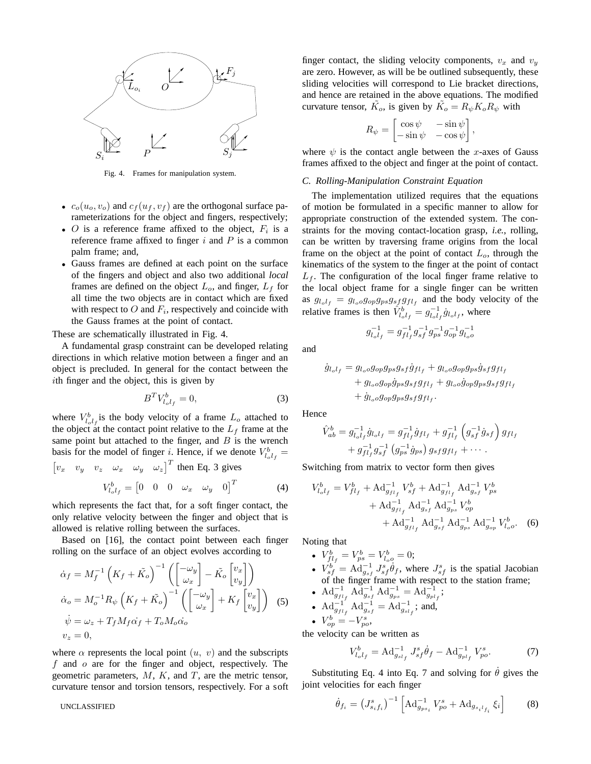

Fig. 4. Frames for manipulation system.

- $c_o(u_o, v_o)$  and  $c_f(u_f, v_f)$  are the orthogonal surface parameterizations for the object and fingers, respectively;
- O is a reference frame affixed to the object,  $F_i$  is a reference frame affixed to finger  $i$  and  $P$  is a common palm frame; and,
- Gauss frames are defined at each point on the surface of the fingers and object and also two additional *local* frames are defined on the object  $L_0$ , and finger,  $L_f$  for all time the two objects are in contact which are fixed with respect to  $O$  and  $F_i$ , respectively and coincide with the Gauss frames at the point of contact.

These are schematically illustrated in Fig. 4.

A fundamental grasp constraint can be developed relating directions in which relative motion between a finger and an object is precluded. In general for the contact between the ith finger and the object, this is given by

$$
B^T V_{l_o l_f}^b = 0,\t\t(3)
$$

where  $V_{l_o l_f}^{b}$  is the body velocity of a frame  $L_o$  attached to the object at the contact point relative to the  $L_f$  frame at the same point but attached to the finger, and  $B$  is the wrench basis for the model of finger *i*. Hence, if we denote  $V_{l_o l_f}^b$  =  $\begin{bmatrix} v_x & v_y & v_z & \omega_x & \omega_y & \omega_z \end{bmatrix}^T$  then Eq. 3 gives

$$
V_{l_o l_f}^b = \begin{bmatrix} 0 & 0 & 0 & \omega_x & \omega_y & 0 \end{bmatrix}^T \tag{4}
$$

which represents the fact that, for a soft finger contact, the only relative velocity between the finger and object that is allowed is relative rolling between the surfaces.

Based on [16], the contact point between each finger rolling on the surface of an object evolves according to

$$
\dot{\alpha}_f = M_f^{-1} \left( K_f + \tilde{K}_o \right)^{-1} \left( \begin{bmatrix} -\omega_y \\ \omega_x \end{bmatrix} - \tilde{K}_o \begin{bmatrix} v_x \\ v_y \end{bmatrix} \right)
$$
  
\n
$$
\dot{\alpha}_o = M_o^{-1} R_{\psi} \left( K_f + \tilde{K}_o \right)^{-1} \left( \begin{bmatrix} -\omega_y \\ \omega_x \end{bmatrix} + K_f \begin{bmatrix} v_x \\ v_y \end{bmatrix} \right)
$$
  
\n
$$
\dot{\psi} = \omega_z + T_f M_f \dot{\alpha}_f + T_o M_o \dot{\alpha}_o
$$
  
\n
$$
v_z = 0,
$$

where  $\alpha$  represents the local point  $(u, v)$  and the subscripts f and o are for the finger and object, respectively. The geometric parameters,  $M$ ,  $K$ , and  $T$ , are the metric tensor, curvature tensor and torsion tensors, respectively. For a soft

UNCLASSIFIED

finger contact, the sliding velocity components,  $v_x$  and  $v_y$ are zero. However, as will be be outlined subsequently, these sliding velocities will correspond to Lie bracket directions, and hence are retained in the above equations. The modified curvature tensor,  $\tilde{K_o}$ , is given by  $\tilde{K_o} = R_{\psi} K_o R_{\psi}$  with

$$
R_{\psi} = \begin{bmatrix} \cos \psi & -\sin \psi \\ -\sin \psi & -\cos \psi \end{bmatrix},
$$

where  $\psi$  is the contact angle between the x-axes of Gauss frames affixed to the object and finger at the point of contact.

## *C. Rolling-Manipulation Constraint Equation*

 $g_{l-l}^{-1}$  $\frac{1}{l_o l_f} = g_{fl_f}^{-1}$ 

The implementation utilized requires that the equations of motion be formulated in a specific manner to allow for appropriate construction of the extended system. The constraints for the moving contact-location grasp, *i.e.*, rolling, can be written by traversing frame origins from the local frame on the object at the point of contact  $L_0$ , through the kinematics of the system to the finger at the point of contact  $L_f$ . The configuration of the local finger frame relative to the local object frame for a single finger can be written as  $g_{l_o l_f} = g_{l_o o} g_{o p} g_{p s} g_{s f} g_{f l_f}$  and the body velocity of the relative frames is then  $\hat{V}_{l_o l_f}^{b} = g_{l_o l_o}^{-1}$  $\bar{l}_{o}^{1}l_{f}^{j} \dot{g}_{l_{o}l_{f}}$ , where

and

$$
\begin{aligned} \dot{g}_{l_o l_f} &= g_{l_o o} g_{op} g_{ps} g_{sf} \dot{g}_{fl_f} + g_{l_o o} g_{op} g_{ps} \dot{g}_{sf} g_{fl_f} \\ &+ g_{l_o o} g_{op} \dot{g}_{ps} g_{sf} g_{fl_f} + g_{l_o o} \dot{g}_{op} g_{ps} g_{sf} g_{fl_f} \\ &+ \dot{g}_{l_o o} g_{op} g_{ps} g_{sf} g_{fl_f} . \end{aligned}
$$

 $\frac{-1}{f l_f} g_{s f}^{-1} g_{p s}^{-1} g_{o p}^{-1} g_{l_o o}^{-1}$ 

 $l_o$ o

Hence

$$
\hat{V}_{ab}^{b} = g_{l_o l_f}^{-1} \dot{g}_{l_o l_f} = g_{fl_f}^{-1} \dot{g}_{fl_f} + g_{fl_f}^{-1} \left( g_{sf}^{-1} \dot{g}_{sf} \right) g_{fl_f} \n+ g_{fl_f}^{-1} g_{sf}^{-1} \left( g_{ps}^{-1} \dot{g}_{ps} \right) g_{sf} g_{fl_f} + \cdots.
$$

Switching from matrix to vector form then gives

$$
V_{l_o l_f}^b = V_{fl_f}^b + \text{Ad}_{g_{fl_f}}^{-1} V_{sf}^b + \text{Ad}_{g_{fl_f}}^{-1} \text{Ad}_{g_{sf}}^{-1} V_{ps}^b
$$
  
+ 
$$
\text{Ad}_{g_{fl_f}}^{-1} \text{Ad}_{g_{sf}}^{-1} \text{Ad}_{g_{ps}}^{-1} V_{op}^b
$$
  
+ 
$$
\text{Ad}_{g_{fl_f}}^{-1} \text{Ad}_{g_{sf}}^{-1} \text{Ad}_{g_{ps}}^{-1} \text{Ad}_{g_{op}}^{-1} V_{l_o o}^b. \tag{6}
$$

Noting that

- $V_{flf}^b = V_{ps}^b = V_{l_o o}^b = 0;$ •  $V_{sf}^{b} = \text{Ad}_{g_{sf}}^{-1} J_{sf}^{s} \dot{\theta}_f$ , where  $J_{sf}^{s}$  is the spatial Jacobian of the finger frame with respect to the station frame;
- $\text{Ad}_{g_{f l_f}}^{-1} \text{Ad}_{g_{s f}}^{-1} \text{Ad}_{g_{p s}}^{-1} = \text{Ad}_{g_{p l_f}}^{-1};$ •  $\text{Ad}_{g_{f l_f}}^{-1} \text{Ad}_{g_{s f}}^{-1} = \text{Ad}_{g_{s l_f}}^{-1}$ ; and,

• 
$$
V_{op}^b = -V_{po}^s,
$$

the velocity can be written as

$$
V_{l_o l_f}^b = \mathrm{Ad}_{g_{sl_f}}^{-1} J_{sf}^s \dot{\theta}_f - \mathrm{Ad}_{g_{pl_f}}^{-1} V_{po}^s. \tag{7}
$$

Substituting Eq. 4 into Eq. 7 and solving for  $\dot{\theta}$  gives the joint velocities for each finger

$$
\dot{\theta}_{f_i} = \left(J_{s_i f_i}^s\right)^{-1} \left[ \text{Ad}_{g_{ps_i}}^{-1} V_{po}^s + \text{Ad}_{g_{s_i l_{f_i}}} \xi_i \right] \tag{8}
$$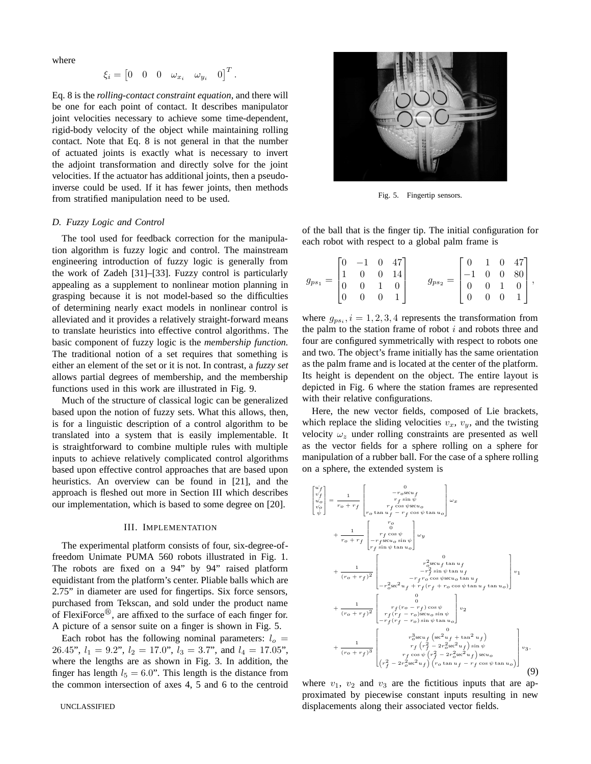where

$$
\xi_i = \begin{bmatrix} 0 & 0 & 0 & \omega_{x_i} & \omega_{y_i} & 0 \end{bmatrix}^T.
$$

Eq. 8 is the *rolling-contact constraint equation*, and there will be one for each point of contact. It describes manipulator joint velocities necessary to achieve some time-dependent, rigid-body velocity of the object while maintaining rolling contact. Note that Eq. 8 is not general in that the number of actuated joints is exactly what is necessary to invert the adjoint transformation and directly solve for the joint velocities. If the actuator has additional joints, then a pseudoinverse could be used. If it has fewer joints, then methods from stratified manipulation need to be used.

### *D. Fuzzy Logic and Control*

The tool used for feedback correction for the manipulation algorithm is fuzzy logic and control. The mainstream engineering introduction of fuzzy logic is generally from the work of Zadeh [31]–[33]. Fuzzy control is particularly appealing as a supplement to nonlinear motion planning in grasping because it is not model-based so the difficulties of determining nearly exact models in nonlinear control is alleviated and it provides a relatively straight-forward means to translate heuristics into effective control algorithms. The basic component of fuzzy logic is the *membership function.* The traditional notion of a set requires that something is either an element of the set or it is not. In contrast, a *fuzzy set* allows partial degrees of membership, and the membership functions used in this work are illustrated in Fig. 9.

Much of the structure of classical logic can be generalized based upon the notion of fuzzy sets. What this allows, then, is for a linguistic description of a control algorithm to be translated into a system that is easily implementable. It is straightforward to combine multiple rules with multiple inputs to achieve relatively complicated control algorithms based upon effective control approaches that are based upon heuristics. An overview can be found in [21], and the approach is fleshed out more in Section III which describes our implementation, which is based to some degree on [20].

#### III. IMPLEMENTATION

The experimental platform consists of four, six-degree-offreedom Unimate PUMA 560 robots illustrated in Fig. 1. The robots are fixed on a 94" by 94" raised platform equidistant from the platform's center. Pliable balls which are 2.75" in diameter are used for fingertips. Six force sensors, purchased from Tekscan, and sold under the product name of FlexiForce<sup>®</sup>, are affixed to the surface of each finger for. A picture of a sensor suite on a finger is shown in Fig. 5.

Each robot has the following nominal parameters:  $l_o$  = 26.45",  $l_1 = 9.2$ ",  $l_2 = 17.0$ ",  $l_3 = 3.7$ ", and  $l_4 = 17.05$ ", where the lengths are as shown in Fig. 3. In addition, the finger has length  $l_5 = 6.0$ ". This length is the distance from the common intersection of axes 4, 5 and 6 to the centroid



Fig. 5. Fingertip sensors.

of the ball that is the finger tip. The initial configuration for each robot with respect to a global palm frame is

$$
g_{ps_1} = \begin{bmatrix} 0 & -1 & 0 & 47 \\ 1 & 0 & 0 & 14 \\ 0 & 0 & 1 & 0 \\ 0 & 0 & 0 & 1 \end{bmatrix} \qquad g_{ps_2} = \begin{bmatrix} 0 & 1 & 0 & 47 \\ -1 & 0 & 0 & 80 \\ 0 & 0 & 1 & 0 \\ 0 & 0 & 0 & 1 \end{bmatrix},
$$

where  $g_{ps_i}$ ,  $i = 1, 2, 3, 4$  represents the transformation from the palm to the station frame of robot  $i$  and robots three and four are configured symmetrically with respect to robots one and two. The object's frame initially has the same orientation as the palm frame and is located at the center of the platform. Its height is dependent on the object. The entire layout is depicted in Fig. 6 where the station frames are represented with their relative configurations.

Here, the new vector fields, composed of Lie brackets, which replace the sliding velocities  $v_x$ ,  $v_y$ , and the twisting velocity  $\omega_z$  under rolling constraints are presented as well as the vector fields for a sphere rolling on a sphere for manipulation of a rubber ball. For the case of a sphere rolling on a sphere, the extended system is

$$
\begin{split} \begin{bmatrix} \dot{u}_f^r\\ \dot{v}_f^r\\ \dot{u}_o\\ \dot{v}_o\\ \dot{\psi}\\ \dot{\psi}\\ \end{bmatrix} &=\frac{1}{r_0+r_f}\begin{bmatrix} 0\\ -r_0\secuf\\ r_f\sin\psi\\ r_f\cos\psi\sec\omega\\ r_f\sin\psi\\ -r_f\cos\psi\\ -r_f\sec\omega\sin\psi\\ r_f\sin\psi\sin\omega\\ -r_f\sin\psi\sin\omega\\ -r_f\cos\psi\sec\omega\sin\omega\\ -r_f\cos\psi\sec\omega\sin\omega\\ -r_f\cos\psi\sec\omega\sin\omega\\ -r_f\cos\psi\sec\omega\sin\omega\\ -r_f\cos\psi\sec\omega\sin\omega\\ -r_f\cos\psi\sec\omega\sin\omega\\ +\frac{1}{(r_0+r_f)^2} \begin{bmatrix} 0\\ -r_0^2\sec^2u_f+r_f(r_f+r_o\cos\psi\tan u_f\\ -r_f^2\sec^2u_f+r_f(r_f+r_o\cos\psi\tan u_f\tan u_o) \end{bmatrix}v_1\\ &+\frac{1}{(r_0+r_f)^2} \begin{bmatrix} 0\\ r_f(r_o-r_f)\cos\psi\\ r_f(r_f-r_o)\sin\psi\tan u_o\\ -r_f(r_f-r_o)\sin\psi\tan u_o \end{bmatrix}v_2\\ &+\frac{1}{(r_0+r_f)^3} \begin{bmatrix} r_f^3\sec^2u_f+\tan^2u_f\\ r_f(r_f^2-2r_0^2\sec^2u_f) \sin\psi\\ r_f(r_f^2-2r_0^2\sec^2u_f) \end{bmatrix}v_3, \end{split} \tag{9}
$$

where  $v_1$ ,  $v_2$  and  $v_3$  are the fictitious inputs that are approximated by piecewise constant inputs resulting in new displacements along their associated vector fields.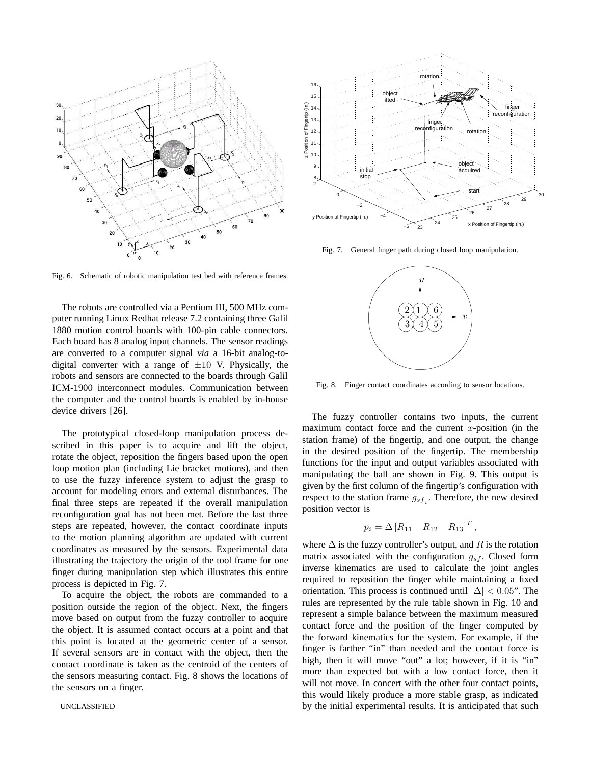

rotation 16 object 15 lifted z Position of Fingertip (in.) z Position of Fingertip (in.) finger 14 reconfiguration 13 finge reconfiguration rotation 12  $1<sup>1</sup>$  $10$ object 9 initia acquired stop 8 2 start 0 30 29 28 −2 27 y Position of Fingertip (in.) 26 −4 25 24 tion of Fingertip (in. −6 23

Fig. 7. General finger path during closed loop manipulation.

Fig. 6. Schematic of robotic manipulation test bed with reference frames

The robots are controlled via a Pentium III, 500 MHz computer running Linux Redhat release 7.2 containing three Galil 1880 motion control boards with 100-pin cable connectors. Each board has 8 analog input channels. The sensor readings are converted to a computer signal *via* a 16-bit analog-todigital converter with a range of  $\pm 10$  V. Physically, the robots and sensors are connected to the boards through Galil ICM-1900 interconnect modules. Communication between the computer and the control boards is enabled by in-house device drivers [26].

The prototypical closed-loop manipulation process described in this paper is to acquire and lift the object, rotate the object, reposition the fingers based upon the open loop motion plan (including Lie bracket motions), and then to use the fuzzy inference system to adjust the grasp to account for modeling errors and external disturbances. The final three steps are repeated if the overall manipulation reconfiguration goal has not been met. Before the last three steps are repeated, however, the contact coordinate inputs to the motion planning algorithm are updated with current coordinates as measured by the sensors. Experimental data illustrating the trajectory the origin of the tool frame for one finger during manipulation step which illustrates this entire process is depicted in Fig. 7.

To acquire the object, the robots are commanded to a position outside the region of the object. Next, the fingers move based on output from the fuzzy controller to acquire the object. It is assumed contact occurs at a point and that this point is located at the geometric center of a sensor. If several sensors are in contact with the object, then the contact coordinate is taken as the centroid of the centers of the sensors measuring contact. Fig. 8 shows the locations of the sensors on a finger.



Fig. 8. Finger contact coordinates according to sensor locations.

The fuzzy controller contains two inputs, the current maximum contact force and the current  $x$ -position (in the station frame) of the fingertip, and one output, the change in the desired position of the fingertip. The membership functions for the input and output variables associated with manipulating the ball are shown in Fig. 9. This output is given by the first column of the fingertip's configuration with respect to the station frame  $g_{s f_i}$ . Therefore, the new desired position vector is

$$
p_i = \Delta \begin{bmatrix} R_{11} & R_{12} & R_{13} \end{bmatrix}^T,
$$

where  $\Delta$  is the fuzzy controller's output, and R is the rotation matrix associated with the configuration  $g_{sf}$ . Closed form inverse kinematics are used to calculate the joint angles required to reposition the finger while maintaining a fixed orientation. This process is continued until  $|\Delta|$  < 0.05". The rules are represented by the rule table shown in Fig. 10 and represent a simple balance between the maximum measured contact force and the position of the finger computed by the forward kinematics for the system. For example, if the finger is farther "in" than needed and the contact force is high, then it will move "out" a lot; however, if it is "in" more than expected but with a low contact force, then it will not move. In concert with the other four contact points, this would likely produce a more stable grasp, as indicated by the initial experimental results. It is anticipated that such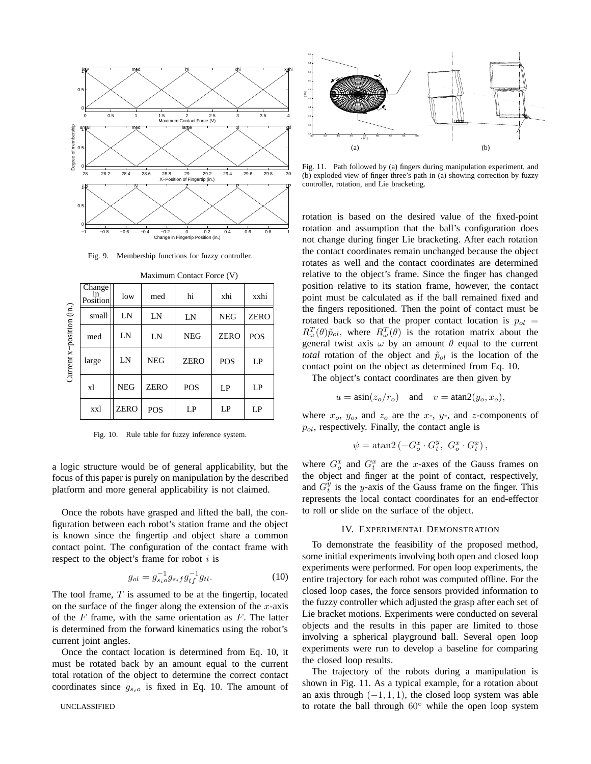

Fig. 9. Membership functions for fuzzy controller.

| Current x-position (in.) | Change<br>in<br>Position | low         | med         | hi          | xhi         | xxhi        |
|--------------------------|--------------------------|-------------|-------------|-------------|-------------|-------------|
|                          | small                    | LN          | LN          | LN          | <b>NEG</b>  | <b>ZERO</b> |
|                          | med                      | LN          | LN          | <b>NEG</b>  | <b>ZERO</b> | <b>POS</b>  |
|                          | large                    | LN          | <b>NEG</b>  | <b>ZERO</b> | <b>POS</b>  | LP          |
|                          | xl                       | <b>NEG</b>  | <b>ZERO</b> | <b>POS</b>  | LP          | LP          |
|                          | xxl                      | <b>ZERO</b> | POS         | LP          | LP          | LP          |

Maximum Contact Force (V)

Fig. 10. Rule table for fuzzy inference system.

a logic structure would be of general applicability, but the focus of this paper is purely on manipulation by the described platform and more general applicability is not claimed.

Once the robots have grasped and lifted the ball, the configuration between each robot's station frame and the object is known since the fingertip and object share a common contact point. The configuration of the contact frame with respect to the object's frame for robot  $i$  is

$$
g_{ol} = g_{s_i}^{-1} g_{s_i} g_{tf}^{-1} g_{tl}.
$$
 (10)

The tool frame,  $T$  is assumed to be at the fingertip, located on the surface of the finger along the extension of the  $x$ -axis of the  $F$  frame, with the same orientation as  $F$ . The latter is determined from the forward kinematics using the robot's current joint angles.

Once the contact location is determined from Eq. 10, it must be rotated back by an amount equal to the current total rotation of the object to determine the correct contact coordinates since  $g_{s_i}$  is fixed in Eq. 10. The amount of



Fig. 11. Path followed by (a) fingers during manipulation experiment, and (b) exploded view of finger three's path in (a) showing correction by fuzzy controller, rotation, and Lie bracketing.

rotation is based on the desired value of the fixed-point rotation and assumption that the ball's configuration does not change during finger Lie bracketing. After each rotation the contact coordinates remain unchanged because the object rotates as well and the contact coordinates are determined relative to the object's frame. Since the finger has changed position relative to its station frame, however, the contact point must be calculated as if the ball remained fixed and the fingers repositioned. Then the point of contact must be rotated back so that the proper contact location is  $p_{ol}$  =  $R_{\omega}^T(\theta) \tilde{p}_{ol}$ , where  $R_{\omega}^T(\theta)$  is the rotation matrix about the general twist axis  $\omega$  by an amount  $\theta$  equal to the current *total* rotation of the object and  $\tilde{p}_{ol}$  is the location of the contact point on the object as determined from Eq. 10.

The object's contact coordinates are then given by

$$
u = \operatorname{asin}(z_o/r_o)
$$
 and  $v = \operatorname{atan2}(y_o, x_o)$ ,

where  $x_o$ ,  $y_o$ , and  $z_o$  are the  $x<sub>o</sub>$ ,  $y<sub>o</sub>$ , and  $z<sub>o</sub>$  components of  $p_{ol}$ , respectively. Finally, the contact angle is

$$
\psi = \operatorname{atan2}(-G_o^x \cdot G_t^y, \ G_o^x \cdot G_t^x),
$$

where  $G_o^x$  and  $G_t^x$  are the x-axes of the Gauss frames on the object and finger at the point of contact, respectively, and  $G_t^y$  is the y-axis of the Gauss frame on the finger. This represents the local contact coordinates for an end-effector to roll or slide on the surface of the object.

## IV. EXPERIMENTAL DEMONSTRATION

To demonstrate the feasibility of the proposed method, some initial experiments involving both open and closed loop experiments were performed. For open loop experiments, the entire trajectory for each robot was computed offline. For the closed loop cases, the force sensors provided information to the fuzzy controller which adjusted the grasp after each set of Lie bracket motions. Experiments were conducted on several objects and the results in this paper are limited to those involving a spherical playground ball. Several open loop experiments were run to develop a baseline for comparing the closed loop results.

The trajectory of the robots during a manipulation is shown in Fig. 11. As a typical example, for a rotation about an axis through  $(-1, 1, 1)$ , the closed loop system was able to rotate the ball through 60◦ while the open loop system